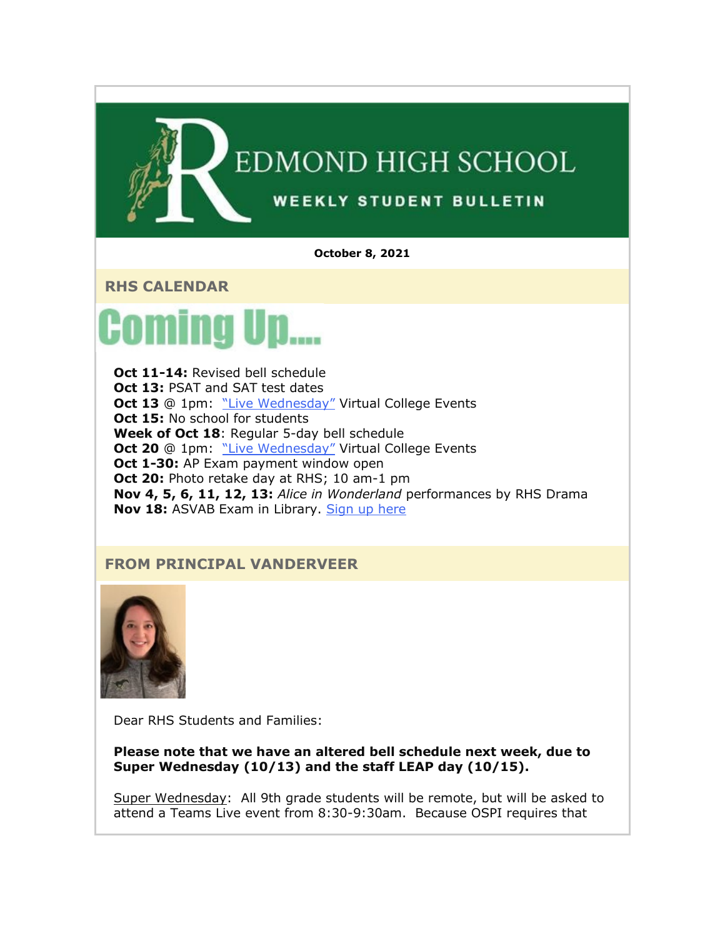

**October 8, 2021**

**RHS CALENDAR**



**Oct 11-14: Revised bell schedule Oct 13: PSAT and SAT test dates Oct 13** @ 1pm: ["Live Wednesday"](https://nam02.safelinks.protection.outlook.com/?url=http%3A%2F%2Flink.email.dynect.net%2Flink.php%3FDynEngagement%3Dtrue%26H%3DltqmAiFyUus3V9RIZo7G2GvP5ZEKnzR2GJf36yV3Tq87iz%252BFBTeRfYjUciPv0ye18C9AxWwScc8ndQsmQhXaoulUn2EQNqQ8M27S8JFcanEF1kkOGCkOCg%253D%253D%26G%3D0%26R%3Dhttps%253A%252F%252FAHDHGYZTANA.hatchbuck.com%252FTrackLinkClick%253FID2%253D7W4E06k7yCA4LgAzw0RpqrIVEY_OiTET-vgh7WXz9pB4eTNmxGxcR3qAzIbZKlSx0%26I%3D20211008220803.0000001aa0f9%2540mail6-61-ussnn1%26X%3DMHwxMjY0OTIyOjIyNTYxNTk3NDc7MXwxMjY0OTIzOjE4MDEwMjY1Mjs%253D%26V%3D3%26S%3DRWBG6UbATsdYjPIoMbEr6SYzLBu43zffqUVcYk7pyPs&data=04%7C01%7Cmwood%40lwsd.org%7Ca8cf71941d834dd8e98a08d98aa81a44%7C1fd4673fdf9646218638a1d88c4c85d7%7C0%7C0%7C637693276882025372%7CUnknown%7CTWFpbGZsb3d8eyJWIjoiMC4wLjAwMDAiLCJQIjoiV2luMzIiLCJBTiI6Ik1haWwiLCJXVCI6Mn0%3D%7C1000&sdata=V7loMTrfgXJFFS4WV%2Bgt5XfeJt%2BBpU6Vn9EdSlsfgxU%3D&reserved=0) Virtual College Events **Oct 15: No school for students Week of Oct 18**: Regular 5-day bell schedule **Oct 20** @ 1pm: ["Live Wednesday"](https://nam02.safelinks.protection.outlook.com/?url=http%3A%2F%2Flink.email.dynect.net%2Flink.php%3FDynEngagement%3Dtrue%26H%3DltqmAiFyUus3V9RIZo7G2GvP5ZEKnzR2GJf36yV3Tq87iz%252BFBTeRfYjUciPv0ye18C9AxWwScc8ndQsmQhXaoulUn2EQNqQ8M27S8JFcanEF1kkOGCkOCg%253D%253D%26G%3D0%26R%3Dhttps%253A%252F%252FAHDHGYZTANA.hatchbuck.com%252FTrackLinkClick%253FID2%253DV3FINBFs68dPdHNd8faZAfqgBcVin_N2PUivGnA-uQT6q6ZOfRFl-VNeXe7GmBtF0%26I%3D20211008220803.0000001aa0f9%2540mail6-61-ussnn1%26X%3DMHwxMjY0OTIyOjIyNTYxNTk3NDc7MXwxMjY0OTIzOjE4MDEwMjY1Mjs%253D%26V%3D3%26S%3DqEztsrp0rfmqfipBNLv-rzifhngAOJ0Wn0iJ_vrkPn0&data=04%7C01%7Cmwood%40lwsd.org%7Ca8cf71941d834dd8e98a08d98aa81a44%7C1fd4673fdf9646218638a1d88c4c85d7%7C0%7C0%7C637693276882035366%7CUnknown%7CTWFpbGZsb3d8eyJWIjoiMC4wLjAwMDAiLCJQIjoiV2luMzIiLCJBTiI6Ik1haWwiLCJXVCI6Mn0%3D%7C1000&sdata=gOJfeooBoYvyMD5PyA1oN3hLWBROQv2rfn45cfAjNNY%3D&reserved=0) Virtual College Events **Oct 1-30:** AP Exam payment window open **Oct 20:** Photo retake day at RHS; 10 am-1 pm **Nov 4, 5, 6, 11, 12, 13:** *Alice in Wonderland* performances by RHS Drama **Nov 18:** ASVAB Exam in Library. [Sign up here](https://nam02.safelinks.protection.outlook.com/?url=http%3A%2F%2Flink.email.dynect.net%2Flink.php%3FDynEngagement%3Dtrue%26H%3DltqmAiFyUus3V9RIZo7G2GvP5ZEKnzR2GJf36yV3Tq87iz%252BFBTeRfYjUciPv0ye18C9AxWwScc8ndQsmQhXaoulUn2EQNqQ8M27S8JFcanEF1kkOGCkOCg%253D%253D%26G%3D0%26R%3Dhttps%253A%252F%252FAHDHGYZTANA.hatchbuck.com%252FTrackLinkClick%253FID2%253DEb7UkzilHIPhF1JrFngGvOE8E0sAncW5jHsT6XGy2WzLwVzPQXZIbKv1Bof5kJ6l0%26I%3D20211008220803.0000001aa0f9%2540mail6-61-ussnn1%26X%3DMHwxMjY0OTIyOjIyNTYxNTk3NDc7MXwxMjY0OTIzOjE4MDEwMjY1Mjs%253D%26V%3D3%26S%3D1zLKZjQW6mC2oeheRBeHxn4cSFzoh35xe9GFuFncvmQ&data=04%7C01%7Cmwood%40lwsd.org%7Ca8cf71941d834dd8e98a08d98aa81a44%7C1fd4673fdf9646218638a1d88c4c85d7%7C0%7C0%7C637693276882035366%7CUnknown%7CTWFpbGZsb3d8eyJWIjoiMC4wLjAwMDAiLCJQIjoiV2luMzIiLCJBTiI6Ik1haWwiLCJXVCI6Mn0%3D%7C1000&sdata=qS4WBGYY%2BQL91IEX7lMbOWyZ6CcG%2F%2Fjarx9MqUSYid8%3D&reserved=0)

## **FROM PRINCIPAL VANDERVEER**



Dear RHS Students and Families:

**Please note that we have an altered bell schedule next week, due to Super Wednesday (10/13) and the staff LEAP day (10/15).**

Super Wednesday: All 9th grade students will be remote, but will be asked to attend a Teams Live event from 8:30-9:30am. Because OSPI requires that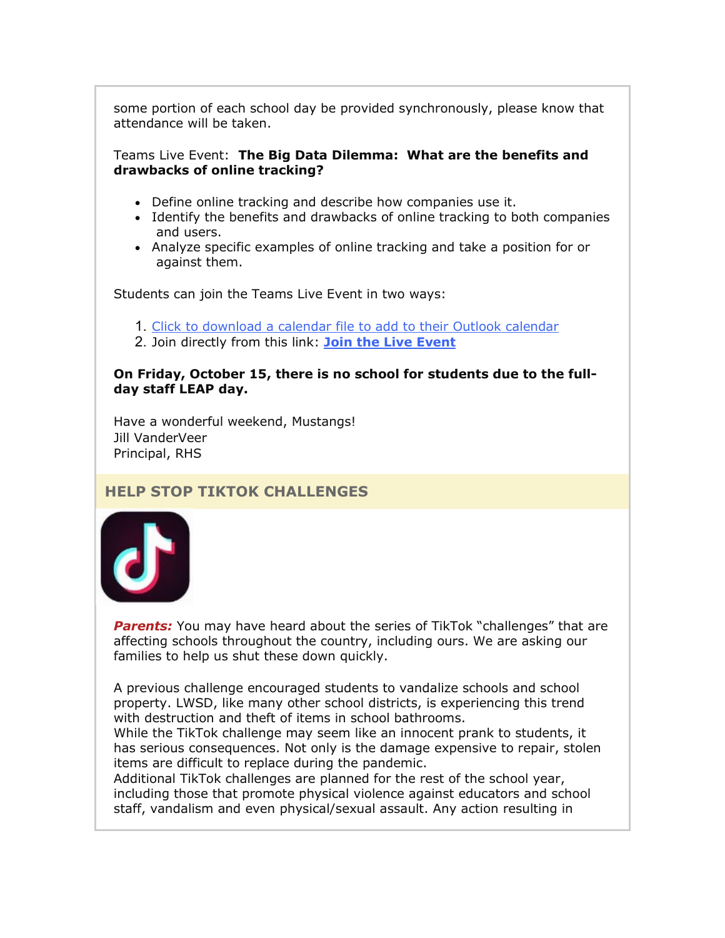some portion of each school day be provided synchronously, please know that attendance will be taken.

#### Teams Live Event: **The Big Data Dilemma: What are the benefits and drawbacks of online tracking?**

- Define online tracking and describe how companies use it.
- Identify the benefits and drawbacks of online tracking to both companies and users.
- Analyze specific examples of online tracking and take a position for or against them.

Students can join the Teams Live Event in two ways:

- 1. [Click to download a calendar file to add to their Outlook calendar](https://nam02.safelinks.protection.outlook.com/?url=http%3A%2F%2Flink.email.dynect.net%2Flink.php%3FDynEngagement%3Dtrue%26H%3DltqmAiFyUus3V9RIZo7G2GvP5ZEKnzR2GJf36yV3Tq87iz%252BFBTeRfYjUciPv0ye18C9AxWwScc8ndQsmQhXaoulUn2EQNqQ8M27S8JFcanEF1kkOGCkOCg%253D%253D%26G%3D0%26R%3Dhttps%253A%252F%252FAHDHGYZTANA.hatchbuck.com%252FTrackLinkClick%253FID2%253Dbil-08lUH-uvJvz3pf8RbiMDsRSkd_ro3gSV2_flkMQVpagxiDy5A0Mp9pmB1_V10%26I%3D20211008220803.0000001aa0f9%2540mail6-61-ussnn1%26X%3DMHwxMjY0OTIyOjIyNTYxNTk3NDc7MXwxMjY0OTIzOjE4MDEwMjY1Mjs%253D%26V%3D3%26S%3DWCQu7XAOjSpqkR4uUBC-S-3i0yNEDEZ8yoJuWseSqTs&data=04%7C01%7Cmwood%40lwsd.org%7Ca8cf71941d834dd8e98a08d98aa81a44%7C1fd4673fdf9646218638a1d88c4c85d7%7C0%7C0%7C637693276882045361%7CUnknown%7CTWFpbGZsb3d8eyJWIjoiMC4wLjAwMDAiLCJQIjoiV2luMzIiLCJBTiI6Ik1haWwiLCJXVCI6Mn0%3D%7C1000&sdata=HRM25faZVSIm8fVam8kw6u20USYDVOaIWE%2FjHjMjZ2M%3D&reserved=0)
- 2. Join directly from this link: **[Join the Live Event](https://nam02.safelinks.protection.outlook.com/?url=http%3A%2F%2Flink.email.dynect.net%2Flink.php%3FDynEngagement%3Dtrue%26H%3DltqmAiFyUus3V9RIZo7G2GvP5ZEKnzR2GJf36yV3Tq87iz%252BFBTeRfYjUciPv0ye18C9AxWwScc8ndQsmQhXaoulUn2EQNqQ8M27S8JFcanEF1kkOGCkOCg%253D%253D%26G%3D0%26R%3Dhttps%253A%252F%252FAHDHGYZTANA.hatchbuck.com%252FTrackLinkClick%253FID2%253D-OXSqQGJ_c3wlRJ6fQtqbaDsGrb07RqFT6Lbv4nwQqT4tqnEN88b9WL4ntUh3azi0%26I%3D20211008220803.0000001aa0f9%2540mail6-61-ussnn1%26X%3DMHwxMjY0OTIyOjIyNTYxNTk3NDc7MXwxMjY0OTIzOjE4MDEwMjY1Mjs%253D%26V%3D3%26S%3DP28jbSZzvN7R7TOgkt6mlB3J-lyQrHcpvdQAQGO4yso&data=04%7C01%7Cmwood%40lwsd.org%7Ca8cf71941d834dd8e98a08d98aa81a44%7C1fd4673fdf9646218638a1d88c4c85d7%7C0%7C0%7C637693276882055351%7CUnknown%7CTWFpbGZsb3d8eyJWIjoiMC4wLjAwMDAiLCJQIjoiV2luMzIiLCJBTiI6Ik1haWwiLCJXVCI6Mn0%3D%7C1000&sdata=reiotsYPhaLywdYcz5d9PAp09nFRGDjdqHP488z6%2BQg%3D&reserved=0)**

#### **On Friday, October 15, there is no school for students due to the fullday staff LEAP day.**

Have a wonderful weekend, Mustangs! Jill VanderVeer Principal, RHS

## **HELP STOP TIKTOK CHALLENGES**



**Parents:** You may have heard about the series of TikTok "challenges" that are affecting schools throughout the country, including ours. We are asking our families to help us shut these down quickly.

A previous challenge encouraged students to vandalize schools and school property. LWSD, like many other school districts, is experiencing this trend with destruction and theft of items in school bathrooms.

While the TikTok challenge may seem like an innocent prank to students, it has serious consequences. Not only is the damage expensive to repair, stolen items are difficult to replace during the pandemic.

Additional TikTok challenges are planned for the rest of the school year, including those that promote physical violence against educators and school staff, vandalism and even physical/sexual assault. Any action resulting in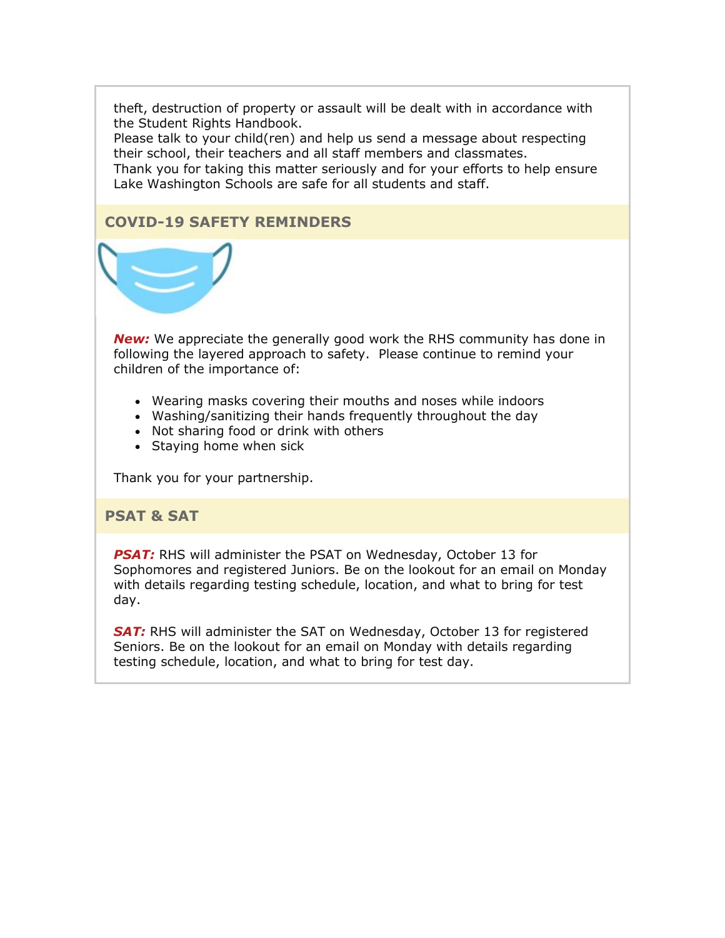theft, destruction of property or assault will be dealt with in accordance with the Student Rights Handbook.

Please talk to your child(ren) and help us send a message about respecting their school, their teachers and all staff members and classmates. Thank you for taking this matter seriously and for your efforts to help ensure Lake Washington Schools are safe for all students and staff.

## **COVID-19 SAFETY REMINDERS**



*New:* We appreciate the generally good work the RHS community has done in following the layered approach to safety. Please continue to remind your children of the importance of:

- Wearing masks covering their mouths and noses while indoors
- Washing/sanitizing their hands frequently throughout the day
- Not sharing food or drink with others
- Staying home when sick

Thank you for your partnership.

#### **PSAT & SAT**

**PSAT:** RHS will administer the PSAT on Wednesday, October 13 for Sophomores and registered Juniors. Be on the lookout for an email on Monday with details regarding testing schedule, location, and what to bring for test day.

**SAT:** RHS will administer the SAT on Wednesday, October 13 for registered Seniors. Be on the lookout for an email on Monday with details regarding testing schedule, location, and what to bring for test day.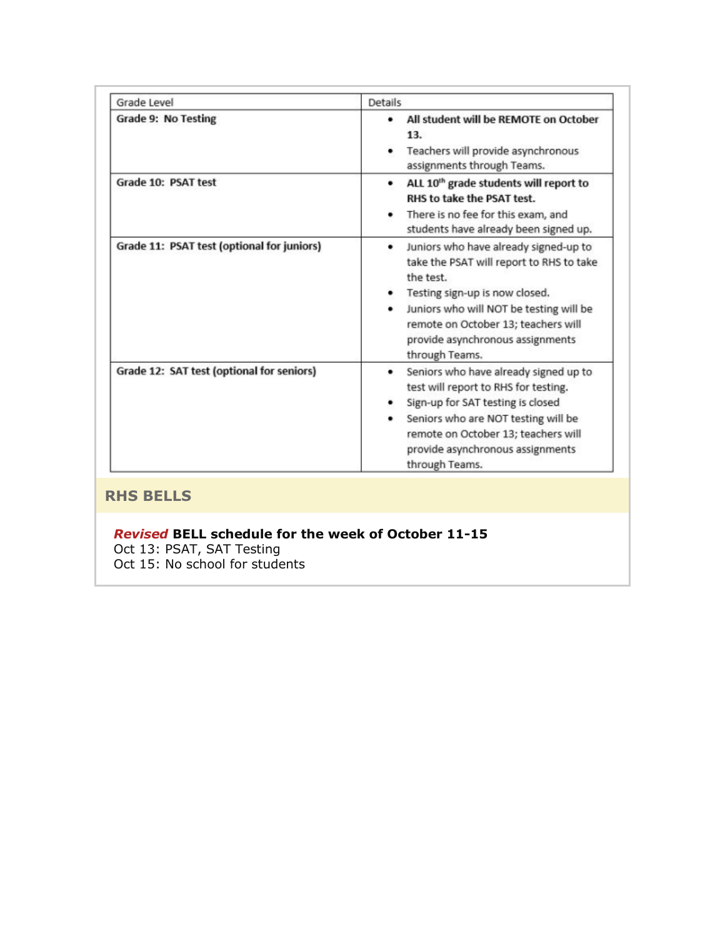| Grade Level                                | <b>Details</b>                                                                                                                                                                                                                                                                                  |
|--------------------------------------------|-------------------------------------------------------------------------------------------------------------------------------------------------------------------------------------------------------------------------------------------------------------------------------------------------|
| Grade 9: No Testing                        | All student will be REMOTE on October<br>٠<br>13.<br>Teachers will provide asynchronous<br>assignments through Teams.                                                                                                                                                                           |
| Grade 10: PSAT test                        | ALL 10 <sup>th</sup> grade students will report to<br>٠<br>RHS to take the PSAT test.<br>There is no fee for this exam, and<br>٠<br>students have already been signed up.                                                                                                                       |
| Grade 11: PSAT test (optional for juniors) | Juniors who have already signed-up to<br>٠<br>take the PSAT will report to RHS to take<br>the test.<br>Testing sign-up is now closed.<br>٠<br>Juniors who will NOT be testing will be<br>$\bullet$<br>remote on October 13; teachers will<br>provide asynchronous assignments<br>through Teams. |
| Grade 12: SAT test (optional for seniors)  | Seniors who have already signed up to<br>٠<br>test will report to RHS for testing.<br>Sign-up for SAT testing is closed<br>Seniors who are NOT testing will be<br>remote on October 13; teachers will<br>provide asynchronous assignments<br>through Teams.                                     |

## **RHS BELLS**

## *Revised* **BELL schedule for the week of October 11-15**

Oct 13: PSAT, SAT Testing

Oct 15: No school for students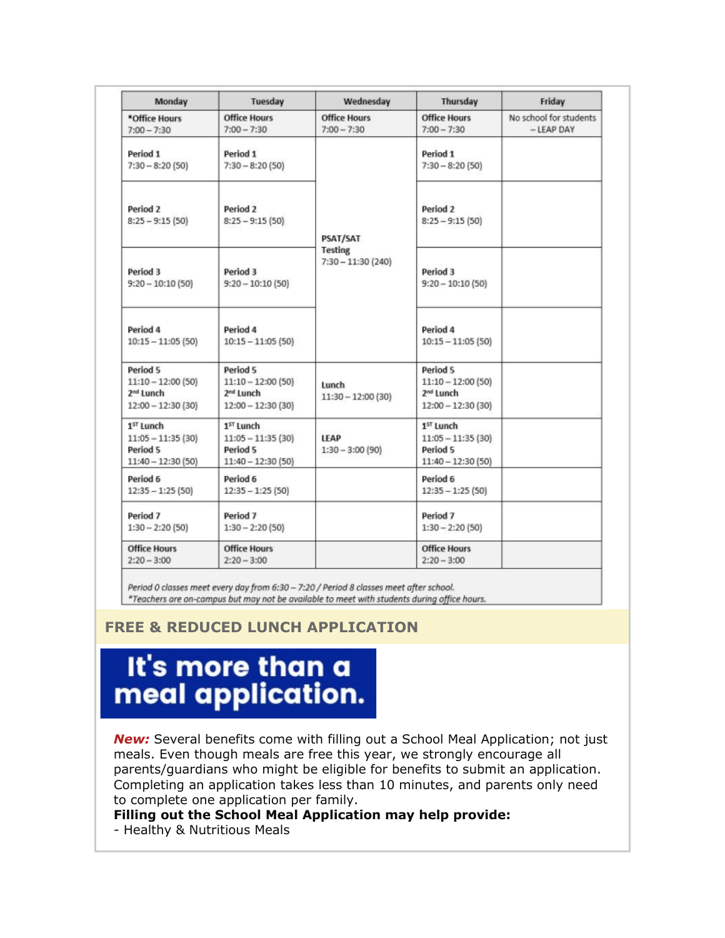| Monday                                                                          | Tuesday                                                                         | Wednesday                                         | Thursday                                                                        | Friday                                 |
|---------------------------------------------------------------------------------|---------------------------------------------------------------------------------|---------------------------------------------------|---------------------------------------------------------------------------------|----------------------------------------|
| *Office Hours<br>$7:00 - 7:30$                                                  | <b>Office Hours</b><br>$7:00 - 7:30$                                            | <b>Office Hours</b><br>$7:00 - 7:30$              | <b>Office Hours</b><br>$7:00 - 7:30$                                            | No school for students<br>$-$ LEAP DAY |
| Period 1<br>$7:30 - 8:20(50)$                                                   | Period 1<br>$7:30 - 8:20(50)$                                                   | PSAT/SAT<br><b>Testing</b><br>$7:30 - 11:30(240)$ | Period 1<br>$7:30 - 8:20(50)$                                                   |                                        |
| Period <sub>2</sub><br>$8:25 - 9:15(50)$                                        | Period 2<br>$8:25 - 9:15(50)$                                                   |                                                   | Period 2<br>$8:25 - 9:15(50)$                                                   |                                        |
| Period 3<br>$9:20 - 10:10(50)$                                                  | Period 3<br>$9:20 - 10:10(50)$                                                  |                                                   | Period 3<br>$9:20 - 10:10(50)$                                                  |                                        |
| Period 4<br>$10:15 - 11:05(50)$                                                 | Period 4<br>$10:15 - 11:05(50)$                                                 |                                                   | Period 4<br>$10:15 - 11:05(50)$                                                 |                                        |
| Period 5<br>$11:10 - 12:00(50)$<br>2 <sup>nd</sup> Lunch<br>$12:00 - 12:30(30)$ | Period 5<br>$11:10 - 12:00(50)$<br>2 <sup>nd</sup> Lunch<br>$12:00 - 12:30(30)$ | Lunch<br>$11:30 - 12:00(30)$                      | Period 5<br>$11:10 - 12:00(50)$<br>2 <sup>nd</sup> Lunch<br>$12:00 - 12:30(30)$ |                                        |
| 1 <sup>ST</sup> Lunch<br>$11:05 - 11:35(30)$<br>Period 5<br>$11:40 - 12:30(50)$ | 1 <sup>ST</sup> Lunch<br>$11:05 - 11:35(30)$<br>Period 5<br>$11:40 - 12:30(50)$ | <b>LEAP</b><br>$1:30 - 3:00(90)$                  | 1 <sup>ST</sup> Lunch<br>$11:05 - 11:35(30)$<br>Period 5<br>11:40 - 12:30 (50)  |                                        |
| Period 6<br>$12:35 - 1:25(50)$                                                  | Period 6<br>$12:35 - 1:25(50)$                                                  |                                                   | Period 6<br>$12:35 - 1:25(50)$                                                  |                                        |
| Period 7<br>$1:30 - 2:20(50)$                                                   | Period 7<br>$1:30 - 2:20(50)$                                                   |                                                   | Period 7<br>$1:30 - 2:20(50)$                                                   |                                        |
| <b>Office Hours</b><br>$2:20 - 3:00$                                            | <b>Office Hours</b><br>$2:20 - 3:00$                                            |                                                   | <b>Office Hours</b><br>$2:20 - 3:00$                                            |                                        |

Period 0 classes meet every day from 6:30 - 7:20 / Period 8 classes meet after school. \*Teachers are on-campus but may not be available to meet with students during office hours.

## **FREE & REDUCED LUNCH APPLICATION**

# It's more than a meal application.

*New:* Several benefits come with filling out a School Meal Application; not just meals. Even though meals are free this year, we strongly encourage all parents/guardians who might be eligible for benefits to submit an application. Completing an application takes less than 10 minutes, and parents only need to complete one application per family.

#### **Filling out the School Meal Application may help provide:**

- Healthy & Nutritious Meals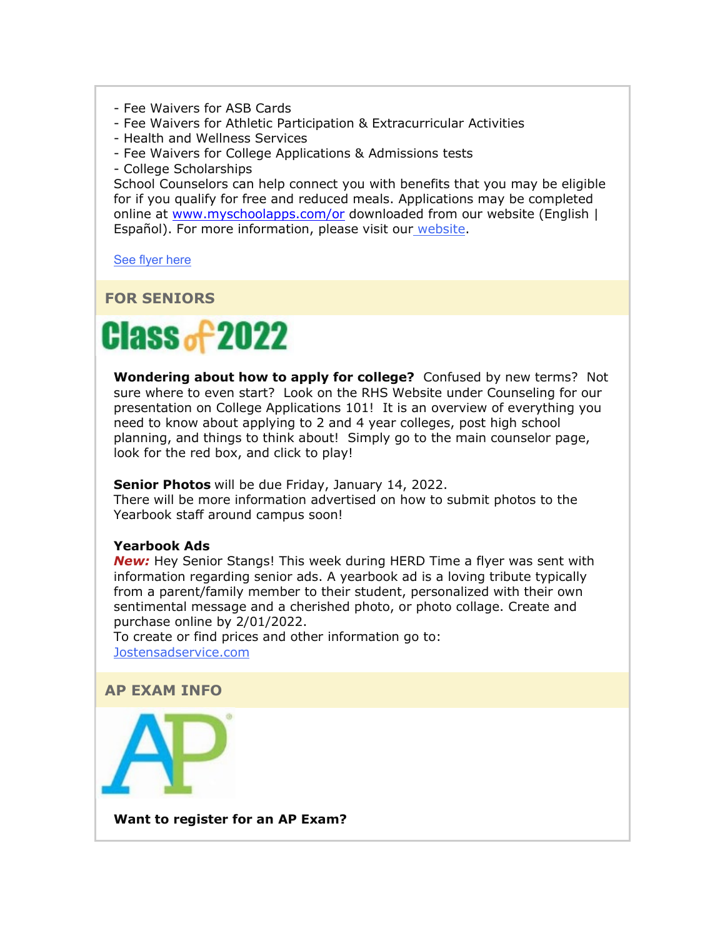- Fee Waivers for ASB Cards
- Fee Waivers for Athletic Participation & Extracurricular Activities
- Health and Wellness Services
- Fee Waivers for College Applications & Admissions tests
- College Scholarships

School Counselors can help connect you with benefits that you may be eligible for if you qualify for free and reduced meals. Applications may be completed online at [www.myschoolapps.com/or](http://www.myschoolapps.com/or) downloaded from our website (English | Español). For more information, please visit our [website.](https://nam02.safelinks.protection.outlook.com/?url=http%3A%2F%2Flink.email.dynect.net%2Flink.php%3FDynEngagement%3Dtrue%26H%3DltqmAiFyUus3V9RIZo7G2GvP5ZEKnzR2GJf36yV3Tq87iz%252BFBTeRfYjUciPv0ye18C9AxWwScc8ndQsmQhXaoulUn2EQNqQ8M27S8JFcanEF1kkOGCkOCg%253D%253D%26G%3D0%26R%3Dhttps%253A%252F%252FAHDHGYZTANA.hatchbuck.com%252FTrackLinkClick%253FID2%253DuG_h4Wdez3wCbGC79x404oi07qyM9kIB5aHjEn94kL_pQ3_3Z_tfUExcLOO7C0DY0%26I%3D20211008220803.0000001aa0f9%2540mail6-61-ussnn1%26X%3DMHwxMjY0OTIyOjIyNTYxNTk3NDc7MXwxMjY0OTIzOjE4MDEwMjY1Mjs%253D%26V%3D3%26S%3DgHSd2huQsNWys3OojO_RFGXjt_aABIzqKuhwxUsQfLQ&data=04%7C01%7Cmwood%40lwsd.org%7Ca8cf71941d834dd8e98a08d98aa81a44%7C1fd4673fdf9646218638a1d88c4c85d7%7C0%7C0%7C637693276882055351%7CUnknown%7CTWFpbGZsb3d8eyJWIjoiMC4wLjAwMDAiLCJQIjoiV2luMzIiLCJBTiI6Ik1haWwiLCJXVCI6Mn0%3D%7C1000&sdata=mV7lpfJ1AidwYM6i4hpMwVN0srx8aHFoC7tAEmJKAQU%3D&reserved=0)

[See flyer here](https://nam02.safelinks.protection.outlook.com/?url=http%3A%2F%2Flink.email.dynect.net%2Flink.php%3FDynEngagement%3Dtrue%26H%3DltqmAiFyUus3V9RIZo7G2GvP5ZEKnzR2GJf36yV3Tq87iz%252BFBTeRfYjUciPv0ye18C9AxWwScc8ndQsmQhXaoulUn2EQNqQ8M27S8JFcanEF1kkOGCkOCg%253D%253D%26G%3D0%26R%3Dhttps%253A%252F%252FAHDHGYZTANA.hatchbuck.com%252FTrackLinkClick%253FID2%253D0dnsqKx8o_2yqT2iqBRXB7f_mbwP_-Nh9gg-RKucFEktPVAJN2LlFjYpxPjeSlBi0%26I%3D20211008220803.0000001aa0f9%2540mail6-61-ussnn1%26X%3DMHwxMjY0OTIyOjIyNTYxNTk3NDc7MXwxMjY0OTIzOjE4MDEwMjY1Mjs%253D%26V%3D3%26S%3Daw82f5eoBHt888QGbHFH91QPOe3prD8T8BSbYu9GTIU&data=04%7C01%7Cmwood%40lwsd.org%7Ca8cf71941d834dd8e98a08d98aa81a44%7C1fd4673fdf9646218638a1d88c4c85d7%7C0%7C0%7C637693276882065342%7CUnknown%7CTWFpbGZsb3d8eyJWIjoiMC4wLjAwMDAiLCJQIjoiV2luMzIiLCJBTiI6Ik1haWwiLCJXVCI6Mn0%3D%7C1000&sdata=Wnu6F1cUyIGaVQdtK3mMOXEeAB3st8grtABA14nlFXQ%3D&reserved=0)

#### **FOR SENIORS**



**Wondering about how to apply for college?** Confused by new terms? Not sure where to even start? Look on the RHS Website under Counseling for our presentation on College Applications 101! It is an overview of everything you need to know about applying to 2 and 4 year colleges, post high school planning, and things to think about! Simply go to the main counselor page, look for the red box, and click to play!

**Senior Photos** will be due Friday, January 14, 2022.

There will be more information advertised on how to submit photos to the Yearbook staff around campus soon!

#### **Yearbook Ads**

*New:* Hey Senior Stangs! This week during HERD Time a flyer was sent with information regarding senior ads. A yearbook ad is a loving tribute typically from a parent/family member to their student, personalized with their own sentimental message and a cherished photo, or photo collage. Create and purchase online by 2/01/2022.

To create or find prices and other information go to: [Jostensadservice.com](https://nam02.safelinks.protection.outlook.com/?url=http%3A%2F%2Flink.email.dynect.net%2Flink.php%3FDynEngagement%3Dtrue%26H%3DltqmAiFyUus3V9RIZo7G2GvP5ZEKnzR2GJf36yV3Tq87iz%252BFBTeRfYjUciPv0ye18C9AxWwScc8ndQsmQhXaoulUn2EQNqQ8M27S8JFcanEF1kkOGCkOCg%253D%253D%26G%3D0%26R%3Dhttps%253A%252F%252FAHDHGYZTANA.hatchbuck.com%252FTrackLinkClick%253FID2%253DWDUIgAFQtl8uYLctbqA5hsb0HhA5Rn5cGYdfYPKlDtHfvJjgHEU93DvMgdT4t2G_0%26I%3D20211008220803.0000001aa0f9%2540mail6-61-ussnn1%26X%3DMHwxMjY0OTIyOjIyNTYxNTk3NDc7MXwxMjY0OTIzOjE4MDEwMjY1Mjs%253D%26V%3D3%26S%3DDfAbRML0HAt52VmqUzIOWAbdpkBNIfCBECLKEMLa6Ig&data=04%7C01%7Cmwood%40lwsd.org%7Ca8cf71941d834dd8e98a08d98aa81a44%7C1fd4673fdf9646218638a1d88c4c85d7%7C0%7C0%7C637693276882065342%7CUnknown%7CTWFpbGZsb3d8eyJWIjoiMC4wLjAwMDAiLCJQIjoiV2luMzIiLCJBTiI6Ik1haWwiLCJXVCI6Mn0%3D%7C1000&sdata=Oaiv%2BbrG0IJ6E0Kfmgzw%2FNYEkhwViE1meQJLBbdErYM%3D&reserved=0)



**Want to register for an AP Exam?**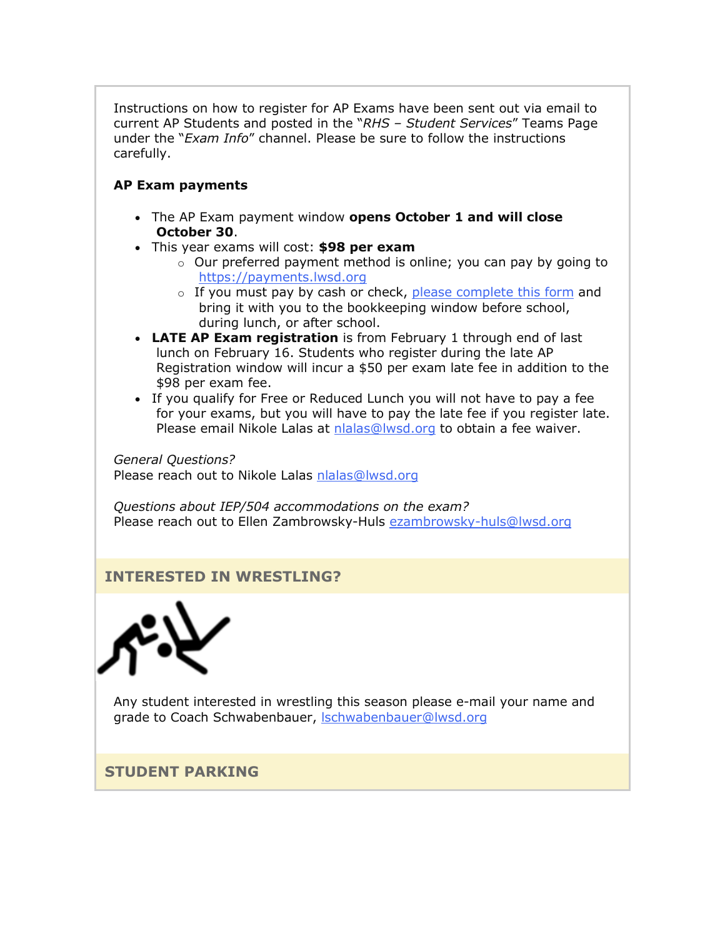Instructions on how to register for AP Exams have been sent out via email to current AP Students and posted in the "*RHS – Student Services*" Teams Page under the "*Exam Info*" channel. Please be sure to follow the instructions carefully.

## **AP Exam payments**

- The AP Exam payment window **opens October 1 and will close October 30**.
- This year exams will cost: **\$98 per exam**
	- o Our preferred payment method is online; you can pay by going to [https://payments.lwsd.org](https://nam02.safelinks.protection.outlook.com/?url=http%3A%2F%2Flink.email.dynect.net%2Flink.php%3FDynEngagement%3Dtrue%26H%3DltqmAiFyUus3V9RIZo7G2GvP5ZEKnzR2GJf36yV3Tq87iz%252BFBTeRfYjUciPv0ye18C9AxWwScc8ndQsmQhXaoulUn2EQNqQ8M27S8JFcanEF1kkOGCkOCg%253D%253D%26G%3D0%26R%3Dhttps%253A%252F%252FAHDHGYZTANA.hatchbuck.com%252FTrackLinkClick%253FID2%253D05fM2PjH0nS015FNW7vrg5529eOpNDsAl-M8E5RmW7jgQPsQLSwPiaExJsdvn_vX0%26I%3D20211008220803.0000001aa0f9%2540mail6-61-ussnn1%26X%3DMHwxMjY0OTIyOjIyNTYxNTk3NDc7MXwxMjY0OTIzOjE4MDEwMjY1Mjs%253D%26V%3D3%26S%3DBHoktFuCV9F4iD-yrNpWV3WWxuXafteUkcQKMfEjGgg&data=04%7C01%7Cmwood%40lwsd.org%7Ca8cf71941d834dd8e98a08d98aa81a44%7C1fd4673fdf9646218638a1d88c4c85d7%7C0%7C0%7C637693276882075341%7CUnknown%7CTWFpbGZsb3d8eyJWIjoiMC4wLjAwMDAiLCJQIjoiV2luMzIiLCJBTiI6Ik1haWwiLCJXVCI6Mn0%3D%7C1000&sdata=8RqtDJ9VIVmo5GdjvpLyPrblqSjI0aakvQ1m2wiqwTU%3D&reserved=0)
	- o If you must pay by cash or check, [please complete this form](https://nam02.safelinks.protection.outlook.com/?url=http%3A%2F%2Flink.email.dynect.net%2Flink.php%3FDynEngagement%3Dtrue%26H%3DltqmAiFyUus3V9RIZo7G2GvP5ZEKnzR2GJf36yV3Tq87iz%252BFBTeRfYjUciPv0ye18C9AxWwScc8ndQsmQhXaoulUn2EQNqQ8M27S8JFcanEF1kkOGCkOCg%253D%253D%26G%3D0%26R%3Dhttps%253A%252F%252FAHDHGYZTANA.hatchbuck.com%252FTrackLinkClick%253FID2%253D2GaHatZiOWTz99jpmDzDrIqWCSm9WZ128KBZbVrv21uZEaL6rKuMS66yHLakB5sY0%26I%3D20211008220803.0000001aa0f9%2540mail6-61-ussnn1%26X%3DMHwxMjY0OTIyOjIyNTYxNTk3NDc7MXwxMjY0OTIzOjE4MDEwMjY1Mjs%253D%26V%3D3%26S%3DemvGONaB7J_xcpOTJSz6ievOR9v7ZfoDwBDbjiGC5Ko&data=04%7C01%7Cmwood%40lwsd.org%7Ca8cf71941d834dd8e98a08d98aa81a44%7C1fd4673fdf9646218638a1d88c4c85d7%7C0%7C0%7C637693276882085333%7CUnknown%7CTWFpbGZsb3d8eyJWIjoiMC4wLjAwMDAiLCJQIjoiV2luMzIiLCJBTiI6Ik1haWwiLCJXVCI6Mn0%3D%7C1000&sdata=X7i9Sl90dd7taQnYqXgeKc2w6yyN6VmdwigBCdkDKSU%3D&reserved=0) and bring it with you to the bookkeeping window before school, during lunch, or after school.
- **LATE AP Exam registration** is from February 1 through end of last lunch on February 16. Students who register during the late AP Registration window will incur a \$50 per exam late fee in addition to the \$98 per exam fee.
- If you qualify for Free or Reduced Lunch you will not have to pay a fee for your exams, but you will have to pay the late fee if you register late. Please email Nikole Lalas at [nlalas@lwsd.org](mailto:nlalas@lwsd.org) to obtain a fee waiver.

*General Questions?*  Please reach out to Nikole Lalas [nlalas@lwsd.org](mailto:nlalas@lwsd.org)

*Questions about IEP/504 accommodations on the exam?*  Please reach out to Ellen Zambrowsky-Huls [ezambrowsky-huls@lwsd.org](mailto:ezambrowsky-huls@lwsd.org)

## **INTERESTED IN WRESTLING?**



Any student interested in wrestling this season please e-mail your name and grade to Coach Schwabenbauer, **Ischwabenbauer@lwsd.org** 

## **STUDENT PARKING**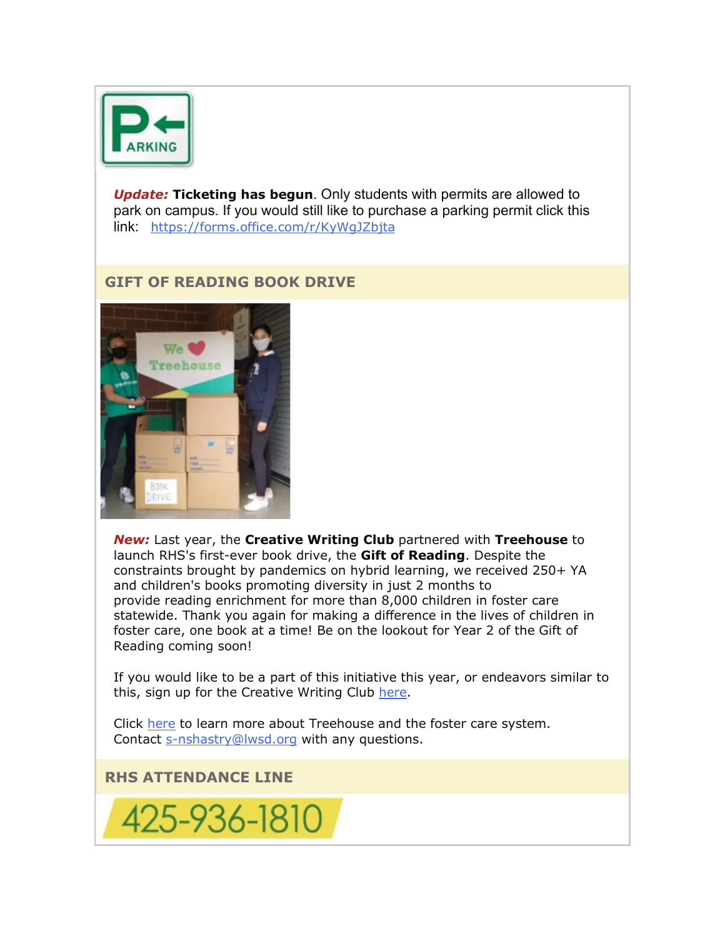

*Update:* **Ticketing has begun**. Only students with permits are allowed to park on campus. If you would still like to purchase a parking permit click this link: [https://forms.office.com/r/KyWgJZbjta](https://nam02.safelinks.protection.outlook.com/?url=http%3A%2F%2Flink.email.dynect.net%2Flink.php%3FDynEngagement%3Dtrue%26H%3DltqmAiFyUus3V9RIZo7G2GvP5ZEKnzR2GJf36yV3Tq87iz%252BFBTeRfYjUciPv0ye18C9AxWwScc8ndQsmQhXaoulUn2EQNqQ8M27S8JFcanEF1kkOGCkOCg%253D%253D%26G%3D0%26R%3Dhttps%253A%252F%252FAHDHGYZTANA.hatchbuck.com%252FTrackLinkClick%253FID2%253DsGk_WeN07_NwtRmcezx6XMdqg4UKJiiwPgHYg-0LrGy1T7wHVhoU80Y01v6ZxXK50%26I%3D20211008220803.0000001aa0f9%2540mail6-61-ussnn1%26X%3DMHwxMjY0OTIyOjIyNTYxNTk3NDc7MXwxMjY0OTIzOjE4MDEwMjY1Mjs%253D%26V%3D3%26S%3D5leCQVCmgaoscWSRTG4-MY01W7vOj7CVD6lIrEizYos&data=04%7C01%7Cmwood%40lwsd.org%7Ca8cf71941d834dd8e98a08d98aa81a44%7C1fd4673fdf9646218638a1d88c4c85d7%7C0%7C0%7C637693276882085333%7CUnknown%7CTWFpbGZsb3d8eyJWIjoiMC4wLjAwMDAiLCJQIjoiV2luMzIiLCJBTiI6Ik1haWwiLCJXVCI6Mn0%3D%7C1000&sdata=HsZOHx2BYJqQO6pM12p4zLsWh9ch2lUCfsWnw7VvJFI%3D&reserved=0)

## **GIFT OF READING BOOK DRIVE**



*New:* Last year, the **Creative Writing Club** partnered with **Treehouse** to launch RHS's first-ever book drive, the **Gift of Reading**. Despite the constraints brought by pandemics on hybrid learning, we received 250+ YA and children's books promoting diversity in just 2 months to provide reading enrichment for more than 8,000 children in foster care statewide. Thank you again for making a difference in the lives of children in foster care, one book at a time! Be on the lookout for Year 2 of the Gift of Reading coming soon!

If you would like to be a part of this initiative this year, or endeavors similar to this, sign up for the Creative Writing Club [here.](https://nam02.safelinks.protection.outlook.com/?url=http%3A%2F%2Flink.email.dynect.net%2Flink.php%3FDynEngagement%3Dtrue%26H%3DltqmAiFyUus3V9RIZo7G2GvP5ZEKnzR2GJf36yV3Tq87iz%252BFBTeRfYjUciPv0ye18C9AxWwScc8ndQsmQhXaoulUn2EQNqQ8M27S8JFcanEF1kkOGCkOCg%253D%253D%26G%3D0%26R%3Dhttps%253A%252F%252FAHDHGYZTANA.hatchbuck.com%252FTrackLinkClick%253FID2%253Da-LDRy6ITl4I2jkBIj3eA6TJkEkwgAztzf4hGQ3GYlnIzo0n0HlXBr3vM9Pbqb6B0%26I%3D20211008220803.0000001aa0f9%2540mail6-61-ussnn1%26X%3DMHwxMjY0OTIyOjIyNTYxNTk3NDc7MXwxMjY0OTIzOjE4MDEwMjY1Mjs%253D%26V%3D3%26S%3DMa3snrHxHOWAi_YL8VXdoawW4Z-U5QfUOjNlWEPoyY8&data=04%7C01%7Cmwood%40lwsd.org%7Ca8cf71941d834dd8e98a08d98aa81a44%7C1fd4673fdf9646218638a1d88c4c85d7%7C0%7C0%7C637693276882095325%7CUnknown%7CTWFpbGZsb3d8eyJWIjoiMC4wLjAwMDAiLCJQIjoiV2luMzIiLCJBTiI6Ik1haWwiLCJXVCI6Mn0%3D%7C1000&sdata=Brbc8JWVo0SSU0kcj2iFmA9dhBifF0nWYxQ9T0FJgeY%3D&reserved=0)

Click [here](https://nam02.safelinks.protection.outlook.com/?url=http%3A%2F%2Flink.email.dynect.net%2Flink.php%3FDynEngagement%3Dtrue%26H%3DltqmAiFyUus3V9RIZo7G2GvP5ZEKnzR2GJf36yV3Tq87iz%252BFBTeRfYjUciPv0ye18C9AxWwScc8ndQsmQhXaoulUn2EQNqQ8M27S8JFcanEF1kkOGCkOCg%253D%253D%26G%3D0%26R%3Dhttps%253A%252F%252FAHDHGYZTANA.hatchbuck.com%252FTrackLinkClick%253FID2%253DoINBormssgyfq2JSA-Go3Ix-oK9cMEZfoO3w_qz5P89uHpPtl8uX2LQ9KSGzFFak0%26I%3D20211008220803.0000001aa0f9%2540mail6-61-ussnn1%26X%3DMHwxMjY0OTIyOjIyNTYxNTk3NDc7MXwxMjY0OTIzOjE4MDEwMjY1Mjs%253D%26V%3D3%26S%3DXvlRgeeWVNB8sb5kF3vU8flOnSAcJ555aFyqzp_awCk&data=04%7C01%7Cmwood%40lwsd.org%7Ca8cf71941d834dd8e98a08d98aa81a44%7C1fd4673fdf9646218638a1d88c4c85d7%7C0%7C0%7C637693276882095325%7CUnknown%7CTWFpbGZsb3d8eyJWIjoiMC4wLjAwMDAiLCJQIjoiV2luMzIiLCJBTiI6Ik1haWwiLCJXVCI6Mn0%3D%7C1000&sdata=e%2BKjDQK77XyVjEqurMW5MGjD1ZfYe9aSgEs2NiEl1zc%3D&reserved=0) to learn more about Treehouse and the foster care system. Contact [s-nshastry@lwsd.org](mailto:s-nshastry@lwsd.org) with any questions.

**RHS ATTENDANCE LINE**

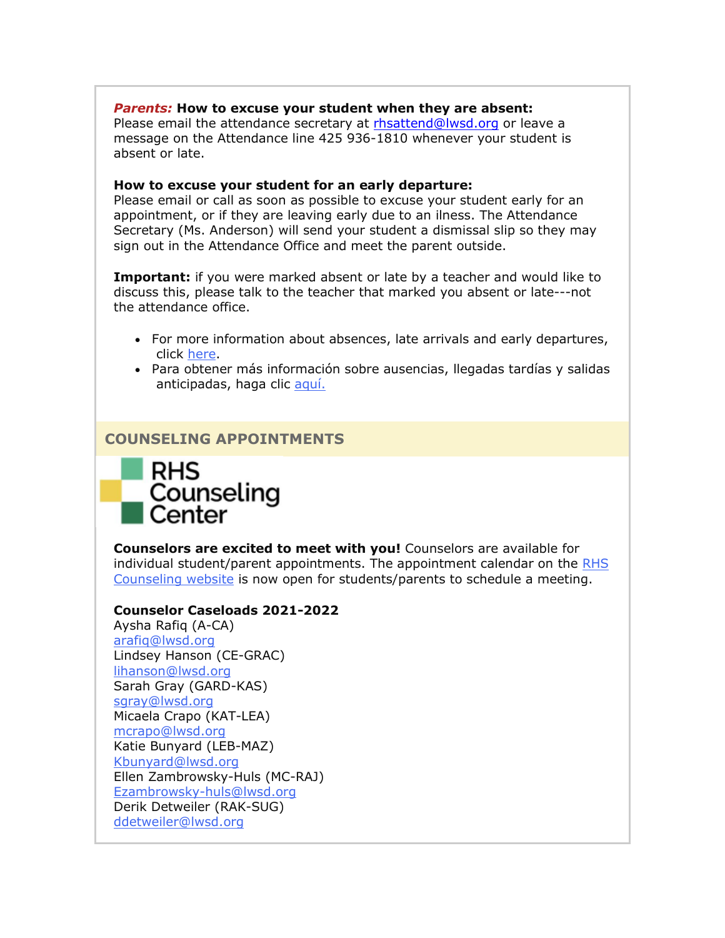#### *Parents:* **How to excuse your student when they are absent:**

Please email the attendance secretary at [rhsattend@lwsd.org](mailto:rhsattend@lwsd.org) or leave a message on the Attendance line 425 936-1810 whenever your student is absent or late.

#### **How to excuse your student for an early departure:**

Please email or call as soon as possible to excuse your student early for an appointment, or if they are leaving early due to an ilness. The Attendance Secretary (Ms. Anderson) will send your student a dismissal slip so they may sign out in the Attendance Office and meet the parent outside.

**Important:** if you were marked absent or late by a teacher and would like to discuss this, please talk to the teacher that marked you absent or late---not the attendance office.

- For more information about absences, late arrivals and early departures, click [here.](https://nam02.safelinks.protection.outlook.com/?url=http%3A%2F%2Flink.email.dynect.net%2Flink.php%3FDynEngagement%3Dtrue%26H%3DltqmAiFyUus3V9RIZo7G2GvP5ZEKnzR2GJf36yV3Tq87iz%252BFBTeRfYjUciPv0ye18C9AxWwScc8ndQsmQhXaoulUn2EQNqQ8M27S8JFcanEF1kkOGCkOCg%253D%253D%26G%3D0%26R%3Dhttps%253A%252F%252FAHDHGYZTANA.hatchbuck.com%252FTrackLinkClick%253FID2%253DyrA_rF9oQCc5lzHM4sZxJAgvKsRDYsBRhEVQa_V15EZ3dtlxf5W6ujZedHgEFIUX0%26I%3D20211008220803.0000001aa0f9%2540mail6-61-ussnn1%26X%3DMHwxMjY0OTIyOjIyNTYxNTk3NDc7MXwxMjY0OTIzOjE4MDEwMjY1Mjs%253D%26V%3D3%26S%3DR2_1zORE0mIUqcBspJ7VJtAsXq3rNM_0O5pxAguWBRY&data=04%7C01%7Cmwood%40lwsd.org%7Ca8cf71941d834dd8e98a08d98aa81a44%7C1fd4673fdf9646218638a1d88c4c85d7%7C0%7C0%7C637693276882105321%7CUnknown%7CTWFpbGZsb3d8eyJWIjoiMC4wLjAwMDAiLCJQIjoiV2luMzIiLCJBTiI6Ik1haWwiLCJXVCI6Mn0%3D%7C1000&sdata=1cLblPpEu0Qjvj2IAOysWvOEr6zitmv%2BNnYuMWYQlVw%3D&reserved=0)
- Para obtener más información sobre ausencias, llegadas tardías y salidas anticipadas, haga clic [aquí.](https://nam02.safelinks.protection.outlook.com/?url=http%3A%2F%2Flink.email.dynect.net%2Flink.php%3FDynEngagement%3Dtrue%26H%3DltqmAiFyUus3V9RIZo7G2GvP5ZEKnzR2GJf36yV3Tq87iz%252BFBTeRfYjUciPv0ye18C9AxWwScc8ndQsmQhXaoulUn2EQNqQ8M27S8JFcanEF1kkOGCkOCg%253D%253D%26G%3D0%26R%3Dhttps%253A%252F%252FAHDHGYZTANA.hatchbuck.com%252FTrackLinkClick%253FID2%253DiX8MFQym_DQ7B6Jaw3oUYpyrsewr1ydzZURAJP1eTt1NDdXwbBy9G4GJzIQT3YW00%26I%3D20211008220803.0000001aa0f9%2540mail6-61-ussnn1%26X%3DMHwxMjY0OTIyOjIyNTYxNTk3NDc7MXwxMjY0OTIzOjE4MDEwMjY1Mjs%253D%26V%3D3%26S%3D4_Z0oeaCuhGbtB0qqYBsmdOm_oQrUVUu0HcCPHDOM10&data=04%7C01%7Cmwood%40lwsd.org%7Ca8cf71941d834dd8e98a08d98aa81a44%7C1fd4673fdf9646218638a1d88c4c85d7%7C0%7C0%7C637693276882115314%7CUnknown%7CTWFpbGZsb3d8eyJWIjoiMC4wLjAwMDAiLCJQIjoiV2luMzIiLCJBTiI6Ik1haWwiLCJXVCI6Mn0%3D%7C1000&sdata=bMwfCUFuqGg8PcNtfwJfZPoP%2FfSlwIYl%2FwqpgMoU%2Fw4%3D&reserved=0)

#### **COUNSELING APPOINTMENTS**



**Counselors are excited to meet with you!** Counselors are available for individual student/parent appointments. The appointment calendar on the [RHS](https://nam02.safelinks.protection.outlook.com/?url=http%3A%2F%2Flink.email.dynect.net%2Flink.php%3FDynEngagement%3Dtrue%26H%3DltqmAiFyUus3V9RIZo7G2GvP5ZEKnzR2GJf36yV3Tq87iz%252BFBTeRfYjUciPv0ye18C9AxWwScc8ndQsmQhXaoulUn2EQNqQ8M27S8JFcanEF1kkOGCkOCg%253D%253D%26G%3D0%26R%3Dhttps%253A%252F%252FAHDHGYZTANA.hatchbuck.com%252FTrackLinkClick%253FID2%253Dqu8hlTLwhJFROhM1T00zt57_ZbuEFaYvTbu-_ApL87kH-lcsmsx8wop27V6Bq7Sg0%26I%3D20211008220803.0000001aa0f9%2540mail6-61-ussnn1%26X%3DMHwxMjY0OTIyOjIyNTYxNTk3NDc7MXwxMjY0OTIzOjE4MDEwMjY1Mjs%253D%26V%3D3%26S%3DJeCMdZbPVvGobsKVDkeUxaQwQQUJ_KrqZrhdH47ONy8&data=04%7C01%7Cmwood%40lwsd.org%7Ca8cf71941d834dd8e98a08d98aa81a44%7C1fd4673fdf9646218638a1d88c4c85d7%7C0%7C0%7C637693276882115314%7CUnknown%7CTWFpbGZsb3d8eyJWIjoiMC4wLjAwMDAiLCJQIjoiV2luMzIiLCJBTiI6Ik1haWwiLCJXVCI6Mn0%3D%7C1000&sdata=4%2BJPF95lXpsA6APjJ1n34SJid0xHFEjl9cb0bT359S4%3D&reserved=0)  [Counseling website](https://nam02.safelinks.protection.outlook.com/?url=http%3A%2F%2Flink.email.dynect.net%2Flink.php%3FDynEngagement%3Dtrue%26H%3DltqmAiFyUus3V9RIZo7G2GvP5ZEKnzR2GJf36yV3Tq87iz%252BFBTeRfYjUciPv0ye18C9AxWwScc8ndQsmQhXaoulUn2EQNqQ8M27S8JFcanEF1kkOGCkOCg%253D%253D%26G%3D0%26R%3Dhttps%253A%252F%252FAHDHGYZTANA.hatchbuck.com%252FTrackLinkClick%253FID2%253Dqu8hlTLwhJFROhM1T00zt57_ZbuEFaYvTbu-_ApL87kH-lcsmsx8wop27V6Bq7Sg0%26I%3D20211008220803.0000001aa0f9%2540mail6-61-ussnn1%26X%3DMHwxMjY0OTIyOjIyNTYxNTk3NDc7MXwxMjY0OTIzOjE4MDEwMjY1Mjs%253D%26V%3D3%26S%3DJeCMdZbPVvGobsKVDkeUxaQwQQUJ_KrqZrhdH47ONy8&data=04%7C01%7Cmwood%40lwsd.org%7Ca8cf71941d834dd8e98a08d98aa81a44%7C1fd4673fdf9646218638a1d88c4c85d7%7C0%7C0%7C637693276882115314%7CUnknown%7CTWFpbGZsb3d8eyJWIjoiMC4wLjAwMDAiLCJQIjoiV2luMzIiLCJBTiI6Ik1haWwiLCJXVCI6Mn0%3D%7C1000&sdata=4%2BJPF95lXpsA6APjJ1n34SJid0xHFEjl9cb0bT359S4%3D&reserved=0) is now open for students/parents to schedule a meeting.

#### **Counselor Caseloads 2021-2022**

Aysha Rafiq (A-CA) [arafiq@lwsd.org](mailto:arafiq@lwsd.org) Lindsey Hanson (CE-GRAC) [lihanson@lwsd.org](mailto:lihanson@lwsd.org) Sarah Gray (GARD-KAS) [sgray@lwsd.org](mailto:sgray@lwsd.org) Micaela Crapo (KAT-LEA) [mcrapo@lwsd.org](mailto:mcrapo@lwsd.org) Katie Bunyard (LEB-MAZ) [Kbunyard@lwsd.org](mailto:Kbunyard@lwsd.org) Ellen Zambrowsky-Huls (MC-RAJ) [Ezambrowsky-huls@lwsd.org](mailto:Ezambrowsky-huls@lwsd.org) Derik Detweiler (RAK-SUG) [ddetweiler@lwsd.org](mailto:ddetweiler@lwsd.org)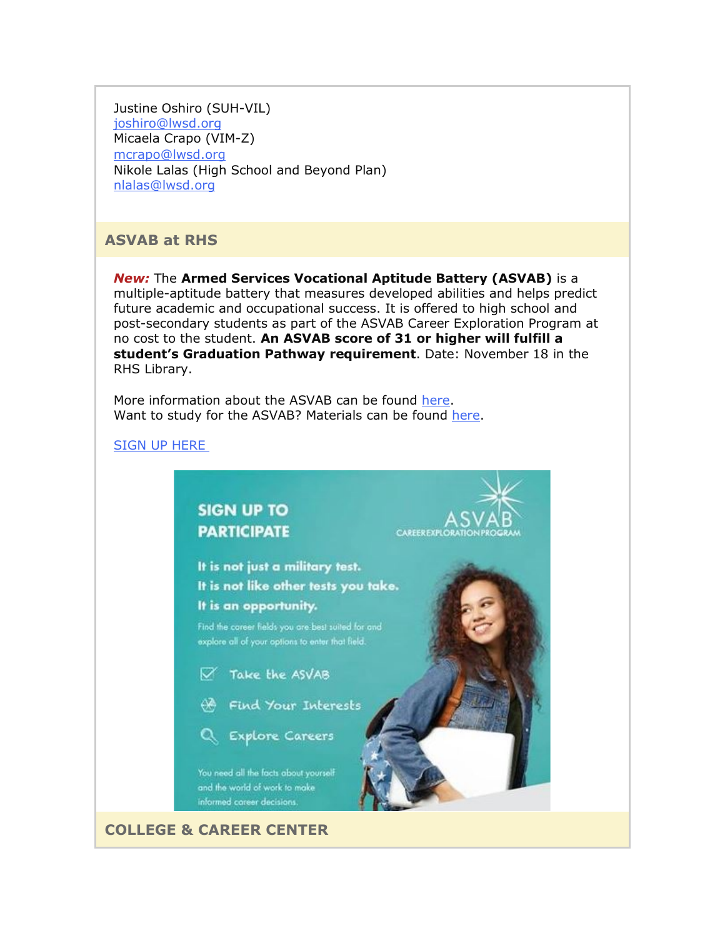Justine Oshiro (SUH-VIL) [joshiro@lwsd.org](mailto:joshiro@lwsd.org) Micaela Crapo (VIM-Z) [mcrapo@lwsd.org](mailto:mcrapo@lwsd.org) Nikole Lalas (High School and Beyond Plan) [nlalas@lwsd.org](mailto:nlalas@lwsd.org)

## **ASVAB at RHS**

*New:* The **Armed Services Vocational Aptitude Battery (ASVAB)** is a multiple-aptitude battery that measures developed abilities and helps predict future academic and occupational success. It is offered to high school and post-secondary students as part of the ASVAB Career Exploration Program at no cost to the student. **An ASVAB score of 31 or higher will fulfill a student's Graduation Pathway requirement**. Date: November 18 in the RHS Library.

More information about the ASVAB can be found [here.](https://nam02.safelinks.protection.outlook.com/?url=http%3A%2F%2Flink.email.dynect.net%2Flink.php%3FDynEngagement%3Dtrue%26H%3DltqmAiFyUus3V9RIZo7G2GvP5ZEKnzR2GJf36yV3Tq87iz%252BFBTeRfYjUciPv0ye18C9AxWwScc8ndQsmQhXaoulUn2EQNqQ8M27S8JFcanEF1kkOGCkOCg%253D%253D%26G%3D0%26R%3Dhttps%253A%252F%252FAHDHGYZTANA.hatchbuck.com%252FTrackLinkClick%253FID2%253D6lhZhdUJxmkzMGgkS65e4Lyn0kyQq6ddaV4ghD9-4LuG3s7aZtwkQm5CKbDG2XH_0%26I%3D20211008220803.0000001aa0f9%2540mail6-61-ussnn1%26X%3DMHwxMjY0OTIyOjIyNTYxNTk3NDc7MXwxMjY0OTIzOjE4MDEwMjY1Mjs%253D%26V%3D3%26S%3DqrrRp_QJhRKd-76wLxldP_wqNUmMMhW9KACueWUfghE&data=04%7C01%7Cmwood%40lwsd.org%7Ca8cf71941d834dd8e98a08d98aa81a44%7C1fd4673fdf9646218638a1d88c4c85d7%7C0%7C0%7C637693276882125310%7CUnknown%7CTWFpbGZsb3d8eyJWIjoiMC4wLjAwMDAiLCJQIjoiV2luMzIiLCJBTiI6Ik1haWwiLCJXVCI6Mn0%3D%7C1000&sdata=g50tUhgZ%2FTgb%2Fs4%2FVZG7S6%2Fuvnkyb34eU0sj7M9%2B9i4%3D&reserved=0) Want to study for the ASVAB? Materials can be found [here.](https://nam02.safelinks.protection.outlook.com/?url=http%3A%2F%2Flink.email.dynect.net%2Flink.php%3FDynEngagement%3Dtrue%26H%3DltqmAiFyUus3V9RIZo7G2GvP5ZEKnzR2GJf36yV3Tq87iz%252BFBTeRfYjUciPv0ye18C9AxWwScc8ndQsmQhXaoulUn2EQNqQ8M27S8JFcanEF1kkOGCkOCg%253D%253D%26G%3D0%26R%3Dhttps%253A%252F%252FAHDHGYZTANA.hatchbuck.com%252FTrackLinkClick%253FID2%253Dg-sHEktc12VOUu59OYkc2s2KilNitifPpYm--Sh01oo99bKcgFYS9mbiYNL2NC9L0%26I%3D20211008220803.0000001aa0f9%2540mail6-61-ussnn1%26X%3DMHwxMjY0OTIyOjIyNTYxNTk3NDc7MXwxMjY0OTIzOjE4MDEwMjY1Mjs%253D%26V%3D3%26S%3DD5vYLX9UGOuZDI0eJzYPh1Cionp5JvnU5nom33XoNUE&data=04%7C01%7Cmwood%40lwsd.org%7Ca8cf71941d834dd8e98a08d98aa81a44%7C1fd4673fdf9646218638a1d88c4c85d7%7C0%7C0%7C637693276882135307%7CUnknown%7CTWFpbGZsb3d8eyJWIjoiMC4wLjAwMDAiLCJQIjoiV2luMzIiLCJBTiI6Ik1haWwiLCJXVCI6Mn0%3D%7C1000&sdata=FUCW%2Bs2XfNpDqgIuKq5EtLqER53XmJiVdgJuWLStcoE%3D&reserved=0)

#### [SIGN UP HERE](https://nam02.safelinks.protection.outlook.com/?url=http%3A%2F%2Flink.email.dynect.net%2Flink.php%3FDynEngagement%3Dtrue%26H%3DltqmAiFyUus3V9RIZo7G2GvP5ZEKnzR2GJf36yV3Tq87iz%252BFBTeRfYjUciPv0ye18C9AxWwScc8ndQsmQhXaoulUn2EQNqQ8M27S8JFcanEF1kkOGCkOCg%253D%253D%26G%3D0%26R%3Dhttps%253A%252F%252FAHDHGYZTANA.hatchbuck.com%252FTrackLinkClick%253FID2%253DYhXAvHh6m9BSZVSywlvhC83qgzpWIXOnOfLwN7eM5lY2ZCqZtKb9ym-Mm2nIuOfg0%26I%3D20211008220803.0000001aa0f9%2540mail6-61-ussnn1%26X%3DMHwxMjY0OTIyOjIyNTYxNTk3NDc7MXwxMjY0OTIzOjE4MDEwMjY1Mjs%253D%26V%3D3%26S%3DPSKVCQgdo6xwVUD5fnqS6iaDzvV05lof3um7whB5PsM&data=04%7C01%7Cmwood%40lwsd.org%7Ca8cf71941d834dd8e98a08d98aa81a44%7C1fd4673fdf9646218638a1d88c4c85d7%7C0%7C0%7C637693276882135307%7CUnknown%7CTWFpbGZsb3d8eyJWIjoiMC4wLjAwMDAiLCJQIjoiV2luMzIiLCJBTiI6Ik1haWwiLCJXVCI6Mn0%3D%7C1000&sdata=5VB9ziUXUQXzYhi%2FR39gjRg0N%2BwqiblY%2BuxBPS7ELqk%3D&reserved=0)



**COLLEGE & CAREER CENTER**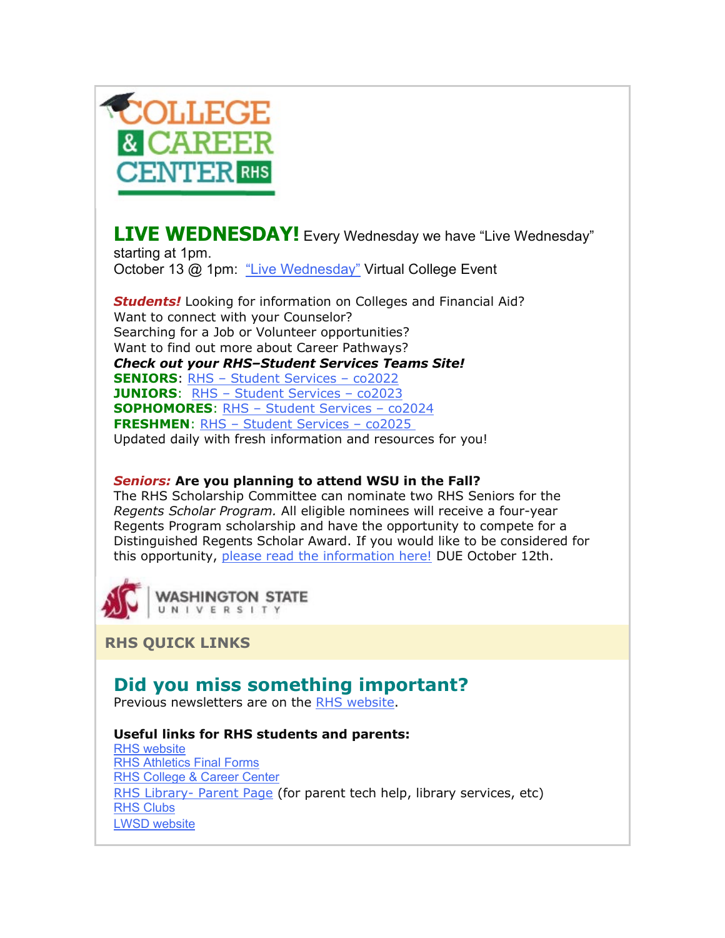

**LIVE WEDNESDAY!** Every Wednesday we have "Live Wednesday"

starting at 1pm. October 13 @ 1pm: ["Live Wednesday"](https://nam02.safelinks.protection.outlook.com/?url=http%3A%2F%2Flink.email.dynect.net%2Flink.php%3FDynEngagement%3Dtrue%26H%3DltqmAiFyUus3V9RIZo7G2GvP5ZEKnzR2GJf36yV3Tq87iz%252BFBTeRfYjUciPv0ye18C9AxWwScc8ndQsmQhXaoulUn2EQNqQ8M27S8JFcanEF1kkOGCkOCg%253D%253D%26G%3D0%26R%3Dhttps%253A%252F%252FAHDHGYZTANA.hatchbuck.com%252FTrackLinkClick%253FID2%253D7W4E06k7yCA4LgAzw0RpqrIVEY_OiTET-vgh7WXz9pB4eTNmxGxcR3qAzIbZKlSx0%26I%3D20211008220803.0000001aa0f9%2540mail6-61-ussnn1%26X%3DMHwxMjY0OTIyOjIyNTYxNTk3NDc7MXwxMjY0OTIzOjE4MDEwMjY1Mjs%253D%26V%3D3%26S%3DRWBG6UbATsdYjPIoMbEr6SYzLBu43zffqUVcYk7pyPs&data=04%7C01%7Cmwood%40lwsd.org%7Ca8cf71941d834dd8e98a08d98aa81a44%7C1fd4673fdf9646218638a1d88c4c85d7%7C0%7C0%7C637693276882145298%7CUnknown%7CTWFpbGZsb3d8eyJWIjoiMC4wLjAwMDAiLCJQIjoiV2luMzIiLCJBTiI6Ik1haWwiLCJXVCI6Mn0%3D%7C1000&sdata=Fglr1Inqea3uK93sGzp%2FMphUkqLtR9zHNe3tFowgsQA%3D&reserved=0) Virtual College Event

*Students!* Looking for information on Colleges and Financial Aid? Want to connect with your Counselor? Searching for a Job or Volunteer opportunities? Want to find out more about Career Pathways? *Check out your RHS–Student Services Teams Site!* **SENIORS**: RHS – [Student Services –](https://nam02.safelinks.protection.outlook.com/?url=http%3A%2F%2Flink.email.dynect.net%2Flink.php%3FDynEngagement%3Dtrue%26H%3DltqmAiFyUus3V9RIZo7G2GvP5ZEKnzR2GJf36yV3Tq87iz%252BFBTeRfYjUciPv0ye18C9AxWwScc8ndQsmQhXaoulUn2EQNqQ8M27S8JFcanEF1kkOGCkOCg%253D%253D%26G%3D0%26R%3Dhttps%253A%252F%252FAHDHGYZTANA.hatchbuck.com%252FTrackLinkClick%253FID2%253DNyRa_FSPY1hSLKZqZLJyvdGWWjKuh9OJ6Q4swrwTvEKObVVQWEyzbaWrfDI5RRbn0%26I%3D20211008220803.0000001aa0f9%2540mail6-61-ussnn1%26X%3DMHwxMjY0OTIyOjIyNTYxNTk3NDc7MXwxMjY0OTIzOjE4MDEwMjY1Mjs%253D%26V%3D3%26S%3Dc-0MB6RddN9PiCrN6lsLsZsb34ToFjrlo1nDA7iwtm4&data=04%7C01%7Cmwood%40lwsd.org%7Ca8cf71941d834dd8e98a08d98aa81a44%7C1fd4673fdf9646218638a1d88c4c85d7%7C0%7C0%7C637693276882145298%7CUnknown%7CTWFpbGZsb3d8eyJWIjoiMC4wLjAwMDAiLCJQIjoiV2luMzIiLCJBTiI6Ik1haWwiLCJXVCI6Mn0%3D%7C1000&sdata=RRUvvhb6zOfC6zCY%2BeXVlPyrav8lX8%2FGE8cse7rEz40%3D&reserved=0) co2022 **JUNIORS**: RHS – [Student Services –](https://nam02.safelinks.protection.outlook.com/?url=http%3A%2F%2Flink.email.dynect.net%2Flink.php%3FDynEngagement%3Dtrue%26H%3DltqmAiFyUus3V9RIZo7G2GvP5ZEKnzR2GJf36yV3Tq87iz%252BFBTeRfYjUciPv0ye18C9AxWwScc8ndQsmQhXaoulUn2EQNqQ8M27S8JFcanEF1kkOGCkOCg%253D%253D%26G%3D0%26R%3Dhttps%253A%252F%252FAHDHGYZTANA.hatchbuck.com%252FTrackLinkClick%253FID2%253DT9t1CoUVWzV4KPkuUSp0O8ksjsXhNKbfPR_2Tc73_RMNF-Zv2XJX1zQFP9srdPBX0%26I%3D20211008220803.0000001aa0f9%2540mail6-61-ussnn1%26X%3DMHwxMjY0OTIyOjIyNTYxNTk3NDc7MXwxMjY0OTIzOjE4MDEwMjY1Mjs%253D%26V%3D3%26S%3D4S1hHmj4B5hE3SbemodRfczExCdevgeeXkB3m5sjwgk&data=04%7C01%7Cmwood%40lwsd.org%7Ca8cf71941d834dd8e98a08d98aa81a44%7C1fd4673fdf9646218638a1d88c4c85d7%7C0%7C0%7C637693276882155295%7CUnknown%7CTWFpbGZsb3d8eyJWIjoiMC4wLjAwMDAiLCJQIjoiV2luMzIiLCJBTiI6Ik1haWwiLCJXVCI6Mn0%3D%7C1000&sdata=HPb10vhSArVHzAF9LArYck2iGtkCTs%2Fj%2BpknTEToT8o%3D&reserved=0) co2023 **SOPHOMORES**: RHS – [Student Services –](https://nam02.safelinks.protection.outlook.com/?url=http%3A%2F%2Flink.email.dynect.net%2Flink.php%3FDynEngagement%3Dtrue%26H%3DltqmAiFyUus3V9RIZo7G2GvP5ZEKnzR2GJf36yV3Tq87iz%252BFBTeRfYjUciPv0ye18C9AxWwScc8ndQsmQhXaoulUn2EQNqQ8M27S8JFcanEF1kkOGCkOCg%253D%253D%26G%3D0%26R%3Dhttps%253A%252F%252FAHDHGYZTANA.hatchbuck.com%252FTrackLinkClick%253FID2%253Dp-SMnZCnREI7nR_GKkApUm3hSKoLWUjI8T9CdrCunR9JhC3DJ2RKaEDZ9BmeuFXe0%26I%3D20211008220803.0000001aa0f9%2540mail6-61-ussnn1%26X%3DMHwxMjY0OTIyOjIyNTYxNTk3NDc7MXwxMjY0OTIzOjE4MDEwMjY1Mjs%253D%26V%3D3%26S%3DrxRfBhvBovY0j0GpkhksCAOULP0iLizEbWMDGI_fraQ&data=04%7C01%7Cmwood%40lwsd.org%7Ca8cf71941d834dd8e98a08d98aa81a44%7C1fd4673fdf9646218638a1d88c4c85d7%7C0%7C0%7C637693276882165288%7CUnknown%7CTWFpbGZsb3d8eyJWIjoiMC4wLjAwMDAiLCJQIjoiV2luMzIiLCJBTiI6Ik1haWwiLCJXVCI6Mn0%3D%7C1000&sdata=1EWLJ13Wvhn8FEcNDF4A51JZAM7IbwNsycK6XFYGbeg%3D&reserved=0) co2024 **FRESHMEN**: RHS – [Student Services –](https://nam02.safelinks.protection.outlook.com/?url=http%3A%2F%2Flink.email.dynect.net%2Flink.php%3FDynEngagement%3Dtrue%26H%3DltqmAiFyUus3V9RIZo7G2GvP5ZEKnzR2GJf36yV3Tq87iz%252BFBTeRfYjUciPv0ye18C9AxWwScc8ndQsmQhXaoulUn2EQNqQ8M27S8JFcanEF1kkOGCkOCg%253D%253D%26G%3D0%26R%3Dhttps%253A%252F%252FAHDHGYZTANA.hatchbuck.com%252FTrackLinkClick%253FID2%253DLZ8f0cpFsVTlyZCKFOv3vo8i4_GJD6s_dNWhGQBpqI4KClYH6U1-fwrCBpwJkaYA0%26I%3D20211008220803.0000001aa0f9%2540mail6-61-ussnn1%26X%3DMHwxMjY0OTIyOjIyNTYxNTk3NDc7MXwxMjY0OTIzOjE4MDEwMjY1Mjs%253D%26V%3D3%26S%3DBlqMNO9n8BEo4P8JYcqUyR1W742o62fQk1ga10EmGoE&data=04%7C01%7Cmwood%40lwsd.org%7Ca8cf71941d834dd8e98a08d98aa81a44%7C1fd4673fdf9646218638a1d88c4c85d7%7C0%7C0%7C637693276882165288%7CUnknown%7CTWFpbGZsb3d8eyJWIjoiMC4wLjAwMDAiLCJQIjoiV2luMzIiLCJBTiI6Ik1haWwiLCJXVCI6Mn0%3D%7C1000&sdata=YMM9VkF%2Bk4u3MRQ2VeVZtA8ilyb51jcZZdUB%2BqHX5zw%3D&reserved=0) co2025 Updated daily with fresh information and resources for you!

#### *Seniors:* **Are you planning to attend WSU in the Fall?**

The RHS Scholarship Committee can nominate two RHS Seniors for the *Regents Scholar Program.* All eligible nominees will receive a four-year Regents Program scholarship and have the opportunity to compete for a Distinguished Regents Scholar Award. If you would like to be considered for this opportunity, [please read the information here!](https://nam02.safelinks.protection.outlook.com/?url=http%3A%2F%2Flink.email.dynect.net%2Flink.php%3FDynEngagement%3Dtrue%26H%3DltqmAiFyUus3V9RIZo7G2GvP5ZEKnzR2GJf36yV3Tq87iz%252BFBTeRfYjUciPv0ye18C9AxWwScc8ndQsmQhXaoulUn2EQNqQ8M27S8JFcanEF1kkOGCkOCg%253D%253D%26G%3D0%26R%3Dhttps%253A%252F%252FAHDHGYZTANA.hatchbuck.com%252FTrackLinkClick%253FID2%253DPTOrqbVEDTXd4FQ6gaotz76hUJTdDvUelADJ3abgjX6TH25WMsS0a0nxQ1Vc5M3b0%26I%3D20211008220803.0000001aa0f9%2540mail6-61-ussnn1%26X%3DMHwxMjY0OTIyOjIyNTYxNTk3NDc7MXwxMjY0OTIzOjE4MDEwMjY1Mjs%253D%26V%3D3%26S%3D40UAW4HfydtnSrZlVzC_svXa39IeN-moKtSTx1wReKo&data=04%7C01%7Cmwood%40lwsd.org%7Ca8cf71941d834dd8e98a08d98aa81a44%7C1fd4673fdf9646218638a1d88c4c85d7%7C0%7C0%7C637693276882175279%7CUnknown%7CTWFpbGZsb3d8eyJWIjoiMC4wLjAwMDAiLCJQIjoiV2luMzIiLCJBTiI6Ik1haWwiLCJXVCI6Mn0%3D%7C1000&sdata=oUWJPioU7EYgQzEAm0Wi2amj8A271Uafm%2B8bR4g2JBQ%3D&reserved=0) DUE October 12th.



**RHS QUICK LINKS**

## **Did you miss something important?**

Previous newsletters are on the [RHS website.](https://nam02.safelinks.protection.outlook.com/?url=http%3A%2F%2Flink.email.dynect.net%2Flink.php%3FDynEngagement%3Dtrue%26H%3DltqmAiFyUus3V9RIZo7G2GvP5ZEKnzR2GJf36yV3Tq87iz%252BFBTeRfYjUciPv0ye18C9AxWwScc8ndQsmQhXaoulUn2EQNqQ8M27S8JFcanEF1kkOGCkOCg%253D%253D%26G%3D0%26R%3Dhttps%253A%252F%252FAHDHGYZTANA.hatchbuck.com%252FTrackLinkClick%253FID2%253D-rE2xHoG5iXqrOita7_O-jbMO0tP2NPeHyYPtGghPsRDce81glIYJh3j_aRuuTwR0%26I%3D20211008220803.0000001aa0f9%2540mail6-61-ussnn1%26X%3DMHwxMjY0OTIyOjIyNTYxNTk3NDc7MXwxMjY0OTIzOjE4MDEwMjY1Mjs%253D%26V%3D3%26S%3DczX7ZtbkFxkVN4HBf2_f2pJbIRZlhZL5qCYPvUJpb9g&data=04%7C01%7Cmwood%40lwsd.org%7Ca8cf71941d834dd8e98a08d98aa81a44%7C1fd4673fdf9646218638a1d88c4c85d7%7C0%7C0%7C637693276882175279%7CUnknown%7CTWFpbGZsb3d8eyJWIjoiMC4wLjAwMDAiLCJQIjoiV2luMzIiLCJBTiI6Ik1haWwiLCJXVCI6Mn0%3D%7C1000&sdata=sGVpv%2BqzEVjReAfeh5gAdd5Zl5cljd2%2BiqGrObybOwk%3D&reserved=0)

#### **Useful links for RHS students and parents:**

[RHS website](https://nam02.safelinks.protection.outlook.com/?url=http%3A%2F%2Flink.email.dynect.net%2Flink.php%3FDynEngagement%3Dtrue%26H%3DltqmAiFyUus3V9RIZo7G2GvP5ZEKnzR2GJf36yV3Tq87iz%252BFBTeRfYjUciPv0ye18C9AxWwScc8ndQsmQhXaoulUn2EQNqQ8M27S8JFcanEF1kkOGCkOCg%253D%253D%26G%3D0%26R%3Dhttps%253A%252F%252FAHDHGYZTANA.hatchbuck.com%252FTrackLinkClick%253FID2%253D-rE2xHoG5iXqrOita7_O-jbMO0tP2NPeHyYPtGghPsRDce81glIYJh3j_aRuuTwR0%26I%3D20211008220803.0000001aa0f9%2540mail6-61-ussnn1%26X%3DMHwxMjY0OTIyOjIyNTYxNTk3NDc7MXwxMjY0OTIzOjE4MDEwMjY1Mjs%253D%26V%3D3%26S%3DczX7ZtbkFxkVN4HBf2_f2pJbIRZlhZL5qCYPvUJpb9g&data=04%7C01%7Cmwood%40lwsd.org%7Ca8cf71941d834dd8e98a08d98aa81a44%7C1fd4673fdf9646218638a1d88c4c85d7%7C0%7C0%7C637693276882185274%7CUnknown%7CTWFpbGZsb3d8eyJWIjoiMC4wLjAwMDAiLCJQIjoiV2luMzIiLCJBTiI6Ik1haWwiLCJXVCI6Mn0%3D%7C1000&sdata=RoO%2F4djxX6gzShK9pyTsNRhq1%2F2JkZRIn1jQLrQJgDw%3D&reserved=0) [RHS Athletics Final Forms](https://nam02.safelinks.protection.outlook.com/?url=http%3A%2F%2Flink.email.dynect.net%2Flink.php%3FDynEngagement%3Dtrue%26H%3DltqmAiFyUus3V9RIZo7G2GvP5ZEKnzR2GJf36yV3Tq87iz%252BFBTeRfYjUciPv0ye18C9AxWwScc8ndQsmQhXaoulUn2EQNqQ8M27S8JFcanEF1kkOGCkOCg%253D%253D%26G%3D0%26R%3Dhttps%253A%252F%252FAHDHGYZTANA.hatchbuck.com%252FTrackLinkClick%253FID2%253DBMwH4cZp_h-aKa1bsyz0_HWyhb3o1BgHTMz-QJ6r-_uQe18nrb7u06XNgxnZl9540%26I%3D20211008220803.0000001aa0f9%2540mail6-61-ussnn1%26X%3DMHwxMjY0OTIyOjIyNTYxNTk3NDc7MXwxMjY0OTIzOjE4MDEwMjY1Mjs%253D%26V%3D3%26S%3DjlX-gBdncmFW2WRDWUX05eIpWh0O-8PbOY9HV03IJ_s&data=04%7C01%7Cmwood%40lwsd.org%7Ca8cf71941d834dd8e98a08d98aa81a44%7C1fd4673fdf9646218638a1d88c4c85d7%7C0%7C0%7C637693276882195272%7CUnknown%7CTWFpbGZsb3d8eyJWIjoiMC4wLjAwMDAiLCJQIjoiV2luMzIiLCJBTiI6Ik1haWwiLCJXVCI6Mn0%3D%7C1000&sdata=3dX4IF8u2g6tuGKTFH1NYaVZv6%2FfbbqindGNoDi6Pao%3D&reserved=0) [RHS College & Career Center](https://nam02.safelinks.protection.outlook.com/?url=http%3A%2F%2Flink.email.dynect.net%2Flink.php%3FDynEngagement%3Dtrue%26H%3DltqmAiFyUus3V9RIZo7G2GvP5ZEKnzR2GJf36yV3Tq87iz%252BFBTeRfYjUciPv0ye18C9AxWwScc8ndQsmQhXaoulUn2EQNqQ8M27S8JFcanEF1kkOGCkOCg%253D%253D%26G%3D0%26R%3Dhttps%253A%252F%252FAHDHGYZTANA.hatchbuck.com%252FTrackLinkClick%253FID2%253DFHScn6FgoqWu3i6Zy4FPxti_ax8Vk89XQJbN-N_M_ERWuMzgTFNVtl3tNkw_9NUA0%26I%3D20211008220803.0000001aa0f9%2540mail6-61-ussnn1%26X%3DMHwxMjY0OTIyOjIyNTYxNTk3NDc7MXwxMjY0OTIzOjE4MDEwMjY1Mjs%253D%26V%3D3%26S%3D6dB2hFUgPxgTrMslGNYa5fieKMdao1lGbAYmUtLawKw&data=04%7C01%7Cmwood%40lwsd.org%7Ca8cf71941d834dd8e98a08d98aa81a44%7C1fd4673fdf9646218638a1d88c4c85d7%7C0%7C0%7C637693276882195272%7CUnknown%7CTWFpbGZsb3d8eyJWIjoiMC4wLjAwMDAiLCJQIjoiV2luMzIiLCJBTiI6Ik1haWwiLCJXVCI6Mn0%3D%7C1000&sdata=Gbe%2B%2BEz%2BshaTFVSajx4VPdj9zTQL8v7U4HhEo8Kn6L8%3D&reserved=0) [RHS Library-](https://nam02.safelinks.protection.outlook.com/?url=http%3A%2F%2Flink.email.dynect.net%2Flink.php%3FDynEngagement%3Dtrue%26H%3DltqmAiFyUus3V9RIZo7G2GvP5ZEKnzR2GJf36yV3Tq87iz%252BFBTeRfYjUciPv0ye18C9AxWwScc8ndQsmQhXaoulUn2EQNqQ8M27S8JFcanEF1kkOGCkOCg%253D%253D%26G%3D0%26R%3Dhttps%253A%252F%252FAHDHGYZTANA.hatchbuck.com%252FTrackLinkClick%253FID2%253DI1DOwJJxnHFCYhu_ZrxUXgzNQn8avIGTvsHvQjKIyCP3toECCw11ZQHYTUBMq4_i0%26I%3D20211008220803.0000001aa0f9%2540mail6-61-ussnn1%26X%3DMHwxMjY0OTIyOjIyNTYxNTk3NDc7MXwxMjY0OTIzOjE4MDEwMjY1Mjs%253D%26V%3D3%26S%3DWeFvzjbTgibAwxdpdA-xoZfgPMzi1cEq3PhhMEj28lA&data=04%7C01%7Cmwood%40lwsd.org%7Ca8cf71941d834dd8e98a08d98aa81a44%7C1fd4673fdf9646218638a1d88c4c85d7%7C0%7C0%7C637693276882205262%7CUnknown%7CTWFpbGZsb3d8eyJWIjoiMC4wLjAwMDAiLCJQIjoiV2luMzIiLCJBTiI6Ik1haWwiLCJXVCI6Mn0%3D%7C1000&sdata=ClGprQ%2FuGmD7csrswmQj6uMpfnv8nVEp6iWRPJClwXg%3D&reserved=0) Parent Page (for parent tech help, library services, etc) [RHS Clubs](https://nam02.safelinks.protection.outlook.com/?url=http%3A%2F%2Flink.email.dynect.net%2Flink.php%3FDynEngagement%3Dtrue%26H%3DltqmAiFyUus3V9RIZo7G2GvP5ZEKnzR2GJf36yV3Tq87iz%252BFBTeRfYjUciPv0ye18C9AxWwScc8ndQsmQhXaoulUn2EQNqQ8M27S8JFcanEF1kkOGCkOCg%253D%253D%26G%3D0%26R%3Dhttps%253A%252F%252FAHDHGYZTANA.hatchbuck.com%252FTrackLinkClick%253FID2%253DwUxgghOVRg0wKEsjUF7VIXPLUwN5_1vAsPJX3A5Du-Mm0JGpX-9B5liuy-gBi4p60%26I%3D20211008220803.0000001aa0f9%2540mail6-61-ussnn1%26X%3DMHwxMjY0OTIyOjIyNTYxNTk3NDc7MXwxMjY0OTIzOjE4MDEwMjY1Mjs%253D%26V%3D3%26S%3DQNgqAmCPn8_iUz5YipjMAb-UnEQHb5tXX9dflQSQYpo&data=04%7C01%7Cmwood%40lwsd.org%7Ca8cf71941d834dd8e98a08d98aa81a44%7C1fd4673fdf9646218638a1d88c4c85d7%7C0%7C0%7C637693276882215257%7CUnknown%7CTWFpbGZsb3d8eyJWIjoiMC4wLjAwMDAiLCJQIjoiV2luMzIiLCJBTiI6Ik1haWwiLCJXVCI6Mn0%3D%7C1000&sdata=IURN1C7a%2Bqh7iZxoxNlId901is5fnftyaImlg7jxMaQ%3D&reserved=0) [LWSD website](https://nam02.safelinks.protection.outlook.com/?url=http%3A%2F%2Flink.email.dynect.net%2Flink.php%3FDynEngagement%3Dtrue%26H%3DltqmAiFyUus3V9RIZo7G2GvP5ZEKnzR2GJf36yV3Tq87iz%252BFBTeRfYjUciPv0ye18C9AxWwScc8ndQsmQhXaoulUn2EQNqQ8M27S8JFcanEF1kkOGCkOCg%253D%253D%26G%3D0%26R%3Dhttps%253A%252F%252FAHDHGYZTANA.hatchbuck.com%252FTrackLinkClick%253FID2%253DKGgl05zDbcH3I8biDZxEQIXopO4-bWKXSf5bqK41dXqeQAXKLA0sYbNkqp2T4wTe0%26I%3D20211008220803.0000001aa0f9%2540mail6-61-ussnn1%26X%3DMHwxMjY0OTIyOjIyNTYxNTk3NDc7MXwxMjY0OTIzOjE4MDEwMjY1Mjs%253D%26V%3D3%26S%3D64cwRKF_uH2fvj22S8kZA0XWhhjvztnnrmWbbzSDy2A&data=04%7C01%7Cmwood%40lwsd.org%7Ca8cf71941d834dd8e98a08d98aa81a44%7C1fd4673fdf9646218638a1d88c4c85d7%7C0%7C0%7C637693276882215257%7CUnknown%7CTWFpbGZsb3d8eyJWIjoiMC4wLjAwMDAiLCJQIjoiV2luMzIiLCJBTiI6Ik1haWwiLCJXVCI6Mn0%3D%7C1000&sdata=nHLq%2BqR02Uao10tV6JdtJA2u%2B0jQTM5LHS6%2BJ2wwVxA%3D&reserved=0)